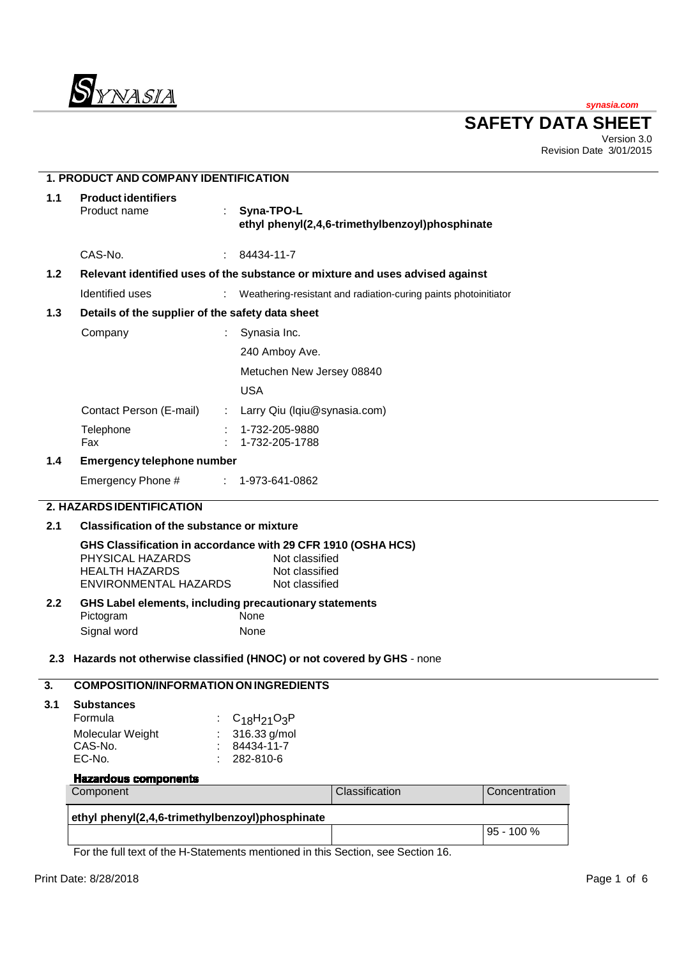

**synasia.com**

**SAFETY DATA SHEET**

Version 3.0 Revision Date 3/01/2015

|       | <b>1. PRODUCT AND COMPANY IDENTIFICATION</b>                                                                                                                                             |                |                                  |                                                                 |  |               |  |
|-------|------------------------------------------------------------------------------------------------------------------------------------------------------------------------------------------|----------------|----------------------------------|-----------------------------------------------------------------|--|---------------|--|
| $1.1$ | <b>Product identifiers</b><br>Product name                                                                                                                                               | ÷              | Syna-TPO-L                       | ethyl phenyl(2,4,6-trimethylbenzoyl)phosphinate                 |  |               |  |
|       | CAS-No.                                                                                                                                                                                  | $\mathbb{R}^n$ | 84434-11-7                       |                                                                 |  |               |  |
| $1.2$ | Relevant identified uses of the substance or mixture and uses advised against                                                                                                            |                |                                  |                                                                 |  |               |  |
|       | Identified uses                                                                                                                                                                          |                |                                  | Weathering-resistant and radiation-curing paints photoinitiator |  |               |  |
| $1.3$ | Details of the supplier of the safety data sheet                                                                                                                                         |                |                                  |                                                                 |  |               |  |
|       | Company                                                                                                                                                                                  |                | Synasia Inc.                     |                                                                 |  |               |  |
|       |                                                                                                                                                                                          |                | 240 Amboy Ave.                   |                                                                 |  |               |  |
|       |                                                                                                                                                                                          |                | Metuchen New Jersey 08840        |                                                                 |  |               |  |
|       |                                                                                                                                                                                          |                | <b>USA</b>                       |                                                                 |  |               |  |
|       | Contact Person (E-mail)                                                                                                                                                                  |                | Larry Qiu (Iqiu@synasia.com)     |                                                                 |  |               |  |
|       | Telephone<br>Fax                                                                                                                                                                         |                | 1-732-205-9880<br>1-732-205-1788 |                                                                 |  |               |  |
| 1.4   | <b>Emergency telephone number</b>                                                                                                                                                        |                |                                  |                                                                 |  |               |  |
|       | Emergency Phone #                                                                                                                                                                        | $\mathbb{Z}^n$ | 1-973-641-0862                   |                                                                 |  |               |  |
|       | 2. HAZARDS IDENTIFICATION                                                                                                                                                                |                |                                  |                                                                 |  |               |  |
| 2.1   | <b>Classification of the substance or mixture</b>                                                                                                                                        |                |                                  |                                                                 |  |               |  |
|       | GHS Classification in accordance with 29 CFR 1910 (OSHA HCS)<br>PHYSICAL HAZARDS<br>Not classified<br><b>HEALTH HAZARDS</b><br>Not classified<br>ENVIRONMENTAL HAZARDS<br>Not classified |                |                                  |                                                                 |  |               |  |
| 2.2   | GHS Label elements, including precautionary statements                                                                                                                                   |                |                                  |                                                                 |  |               |  |
|       | Pictogram<br>Signal word                                                                                                                                                                 |                | None<br>None                     |                                                                 |  |               |  |
|       |                                                                                                                                                                                          |                |                                  |                                                                 |  |               |  |
|       | 2.3 Hazards not otherwise classified (HNOC) or not covered by GHS - none                                                                                                                 |                |                                  |                                                                 |  |               |  |
| 3.    | <b>COMPOSITION/INFORMATION ON INGREDIENTS</b>                                                                                                                                            |                |                                  |                                                                 |  |               |  |
| 3.1   | <b>Substances</b>                                                                                                                                                                        |                |                                  |                                                                 |  |               |  |
|       | Formula                                                                                                                                                                                  |                | $C_{18}H_{21}O_3P$               |                                                                 |  |               |  |
|       | Molecular Weight<br>CAS-No.                                                                                                                                                              |                | 316.33 g/mol<br>84434-11-7       |                                                                 |  |               |  |
|       | EC-No.                                                                                                                                                                                   |                | 282-810-6                        |                                                                 |  |               |  |
|       | <b>Hazardous components</b>                                                                                                                                                              |                |                                  |                                                                 |  |               |  |
|       | Component                                                                                                                                                                                |                |                                  | Classification                                                  |  | Concentration |  |
|       | ethyl phenyl(2,4,6-trimethylbenzoyl)phosphinate                                                                                                                                          |                |                                  |                                                                 |  |               |  |
|       |                                                                                                                                                                                          |                |                                  |                                                                 |  | 95 - 100 %    |  |
|       | For the full text of the H-Statements mentioned in this Section, see Section 16.                                                                                                         |                |                                  |                                                                 |  |               |  |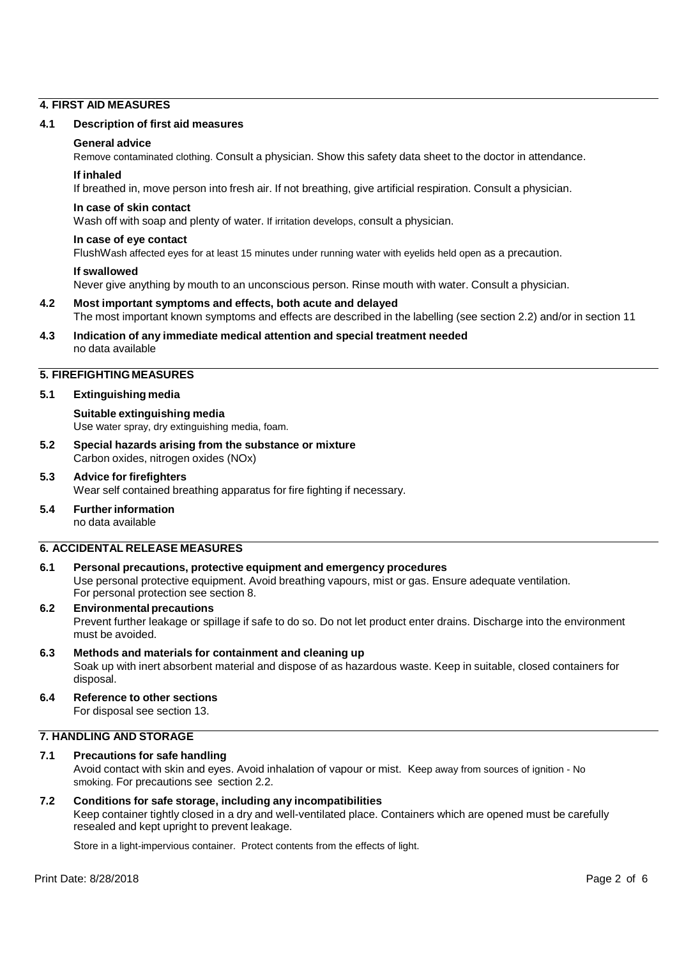# **4. FIRST AID MEASURES**

#### **4.1 Description of first aid measures**

#### **General advice**

Remove contaminated clothing. Consult a physician. Show this safety data sheet to the doctor in attendance.

#### **If inhaled**

If breathed in, move person into fresh air. If not breathing, give artificial respiration. Consult a physician.

# **In case of skin contact**

Wash off with soap and plenty of water. If irritation develops, consult a physician.

#### **In case of eye contact**

FlushWash affected eyes for at least 15 minutes under running water with eyelids held open as a precaution.

#### **If swallowed**

Never give anything by mouth to an unconscious person. Rinse mouth with water. Consult a physician.

# **4.2 Most important symptoms and effects, both acute and delayed** The most important known symptoms and effects are described in the labelling (see section 2.2) and/or in section 11

#### **4.3 Indication of any immediate medical attention and special treatment needed** no data available

# **5. FIREFIGHTING MEASURES**

# **5.1 Extinguishing media**

# **Suitable extinguishing media**

Use water spray, dry extinguishing media, foam.

**5.2 Special hazards arising from the substance or mixture** Carbon oxides, nitrogen oxides (NOx)

# **5.3 Advice for firefighters**

Wear self contained breathing apparatus for fire fighting if necessary.

# **5.4 Further information**

no data available

# **6. ACCIDENTAL RELEASE MEASURES**

# **6.1 Personal precautions, protective equipment and emergency procedures**

Use personal protective equipment. Avoid breathing vapours, mist or gas. Ensure adequate ventilation. For personal protection see section 8.

# **6.2 Environmental precautions**

Prevent further leakage or spillage if safe to do so. Do not let product enter drains. Discharge into the environment must be avoided.

# **6.3 Methods and materials for containment and cleaning up** Soak up with inert absorbent material and dispose of as hazardous waste. Keep in suitable, closed containers for disposal.

# **6.4 Reference to other sections**

For disposal see section 13.

# **7. HANDLING AND STORAGE**

# **7.1 Precautions for safe handling** Avoid contact with skin and eyes. Avoid inhalation of vapour or mist. Keep away from sources of ignition - No smoking. For precautions see section 2.2.

# **7.2 Conditions for safe storage, including any incompatibilities**

Keep container tightly closed in a dry and well-ventilated place. Containers which are opened must be carefully resealed and kept upright to prevent leakage.

Store in a light-impervious container. Protect contents from the effects of light.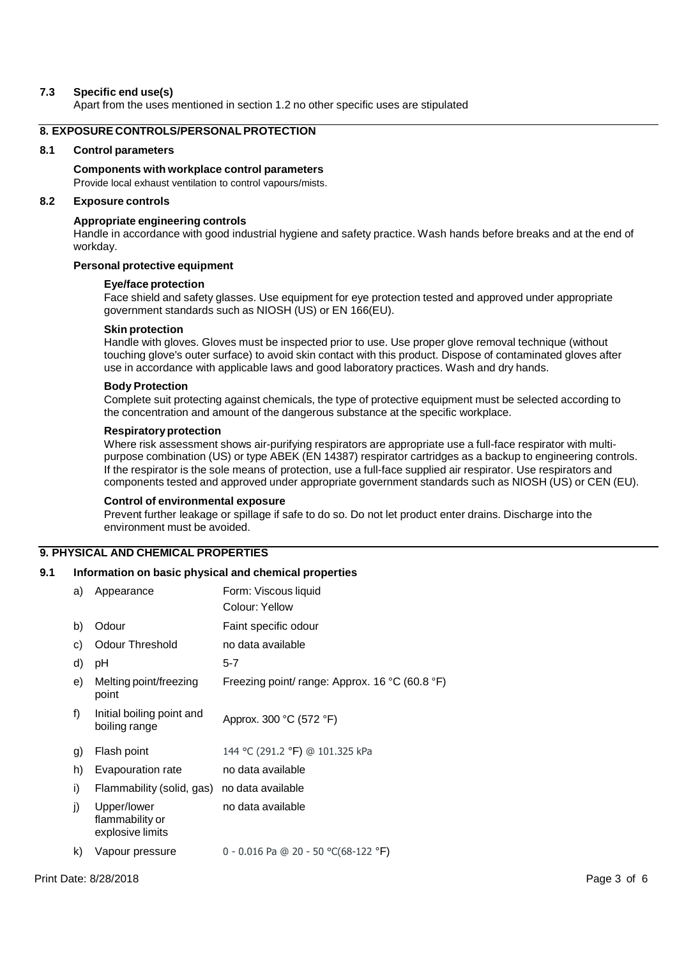### **7.3 Specific end use(s)**

Apart from the uses mentioned in section 1.2 no other specific uses are stipulated

# **8. EXPOSURE CONTROLS/PERSONAL PROTECTION**

#### **8.1 Control parameters**

**Components with workplace control parameters** Provide local exhaust ventilation to control vapours/mists.

#### **8.2 Exposure controls**

#### **Appropriate engineering controls**

Handle in accordance with good industrial hygiene and safety practice. Wash hands before breaks and at the end of workday.

#### **Personal protective equipment**

#### **Eye/face protection**

Face shield and safety glasses. Use equipment for eye protection tested and approved under appropriate government standards such as NIOSH (US) or EN 166(EU).

#### **Skin protection**

Handle with gloves. Gloves must be inspected prior to use. Use proper glove removal technique (without touching glove's outer surface) to avoid skin contact with this product. Dispose of contaminated gloves after use in accordance with applicable laws and good laboratory practices. Wash and dry hands.

#### **Body Protection**

Complete suit protecting against chemicals, the type of protective equipment must be selected according to the concentration and amount of the dangerous substance at the specific workplace.

#### **Respiratory protection**

Where risk assessment shows air-purifying respirators are appropriate use a full-face respirator with multipurpose combination (US) or type ABEK (EN 14387) respirator cartridges as a backup to engineering controls. If the respirator is the sole means of protection, use a full-face supplied air respirator. Use respirators and components tested and approved under appropriate government standards such as NIOSH (US) or CEN (EU).

#### **Control of environmental exposure**

Prevent further leakage or spillage if safe to do so. Do not let product enter drains. Discharge into the environment must be avoided.

# **9. PHYSICAL AND CHEMICAL PROPERTIES**

#### **9.1 Information on basic physical and chemical properties**

| a) | Appearance                                         | Form: Viscous liquid<br>Colour: Yellow         |
|----|----------------------------------------------------|------------------------------------------------|
| b) | Odour                                              | Faint specific odour                           |
| C) | <b>Odour Threshold</b>                             | no data available                              |
| d) | рH                                                 | $5 - 7$                                        |
| e) | Melting point/freezing<br>point                    | Freezing point/ range: Approx. 16 °C (60.8 °F) |
| f) | Initial boiling point and<br>boiling range         | Approx. 300 °C (572 °F)                        |
| g) | Flash point                                        | 144 °C (291.2 °F) @ 101.325 kPa                |
| h) | Evapouration rate                                  | no data available                              |
| i) | Flammability (solid, gas)                          | no data available                              |
| j) | Upper/lower<br>flammability or<br>explosive limits | no data available                              |
| k) | Vapour pressure                                    | 0 - 0.016 Pa @ 20 - 50 °C(68-122 °F)           |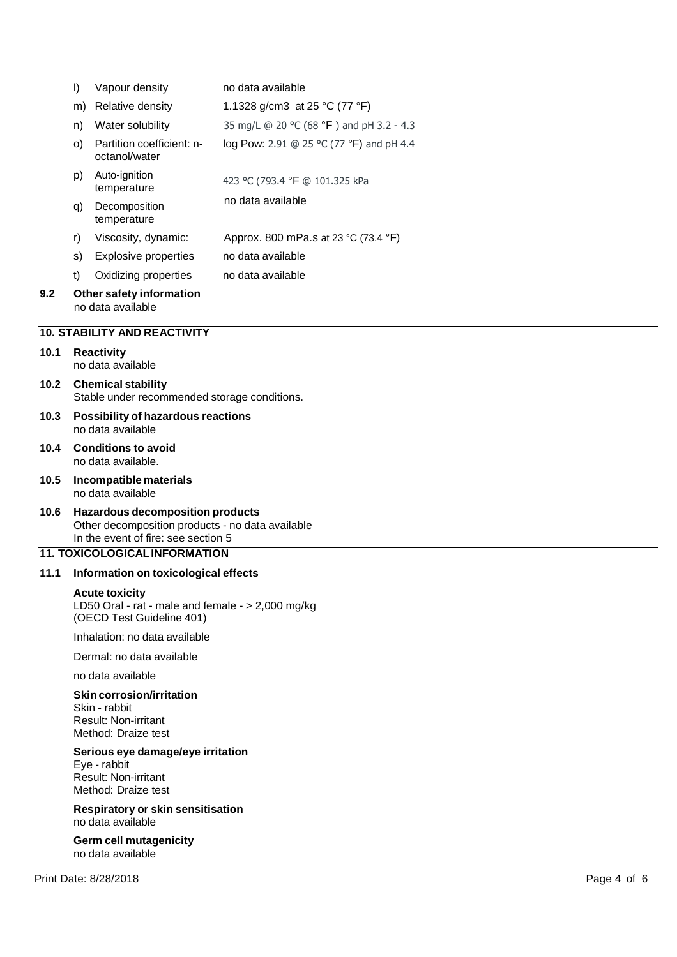|      | $\vert$                                                                   | Vapour density                                                                                                                                                             | no data available                        |             |  |  |  |
|------|---------------------------------------------------------------------------|----------------------------------------------------------------------------------------------------------------------------------------------------------------------------|------------------------------------------|-------------|--|--|--|
|      | m)                                                                        | Relative density                                                                                                                                                           | 1.1328 g/cm3 at 25 °C (77 °F)            |             |  |  |  |
|      | n)                                                                        | Water solubility                                                                                                                                                           | 35 mg/L @ 20 °C (68 °F) and pH 3.2 - 4.3 |             |  |  |  |
|      | O()                                                                       | Partition coefficient: n-<br>octanol/water                                                                                                                                 | log Pow: 2.91 @ 25 °C (77 °F) and pH 4.4 |             |  |  |  |
|      | p)                                                                        | Auto-ignition<br>temperature                                                                                                                                               | 423 °C (793.4 °F @ 101.325 kPa           |             |  |  |  |
|      | q)                                                                        | Decomposition<br>temperature                                                                                                                                               | no data available                        |             |  |  |  |
|      | r)                                                                        | Viscosity, dynamic:                                                                                                                                                        | Approx. 800 mPa.s at 23 °C (73.4 °F)     |             |  |  |  |
|      | S)                                                                        | <b>Explosive properties</b>                                                                                                                                                | no data available                        |             |  |  |  |
|      | t)                                                                        | Oxidizing properties                                                                                                                                                       | no data available                        |             |  |  |  |
| 9.2  |                                                                           | Other safety information<br>no data available                                                                                                                              |                                          |             |  |  |  |
|      |                                                                           | <b>10. STABILITY AND REACTIVITY</b>                                                                                                                                        |                                          |             |  |  |  |
| 10.1 |                                                                           | <b>Reactivity</b><br>no data available                                                                                                                                     |                                          |             |  |  |  |
| 10.2 | <b>Chemical stability</b><br>Stable under recommended storage conditions. |                                                                                                                                                                            |                                          |             |  |  |  |
| 10.3 | Possibility of hazardous reactions<br>no data available                   |                                                                                                                                                                            |                                          |             |  |  |  |
| 10.4 |                                                                           | <b>Conditions to avoid</b><br>no data available.                                                                                                                           |                                          |             |  |  |  |
| 10.5 |                                                                           | Incompatible materials<br>no data available                                                                                                                                |                                          |             |  |  |  |
| 10.6 |                                                                           | <b>Hazardous decomposition products</b><br>Other decomposition products - no data available<br>In the event of fire: see section 5<br><b>11. TOXICOLOGICAL INFORMATION</b> |                                          |             |  |  |  |
| 11.1 |                                                                           | Information on toxicological effects                                                                                                                                       |                                          |             |  |  |  |
|      |                                                                           | <b>Acute toxicity</b><br>LD50 Oral - rat - male and female - > 2,000 mg/kg<br>(OECD Test Guideline 401)                                                                    |                                          |             |  |  |  |
|      |                                                                           | Inhalation: no data available                                                                                                                                              |                                          |             |  |  |  |
|      |                                                                           | Dermal: no data available                                                                                                                                                  |                                          |             |  |  |  |
|      |                                                                           | no data available                                                                                                                                                          |                                          |             |  |  |  |
|      |                                                                           | <b>Skin corrosion/irritation</b><br>Skin - rabbit<br><b>Result: Non-irritant</b><br>Method: Draize test                                                                    |                                          |             |  |  |  |
|      |                                                                           | Serious eye damage/eye irritation<br>Eye - rabbit<br><b>Result: Non-irritant</b><br>Method: Draize test                                                                    |                                          |             |  |  |  |
|      |                                                                           | Respiratory or skin sensitisation<br>no data available                                                                                                                     |                                          |             |  |  |  |
|      |                                                                           | Germ cell mutagenicity<br>no data available                                                                                                                                |                                          |             |  |  |  |
|      |                                                                           | Print Date: 8/28/2018                                                                                                                                                      |                                          | Page 4 of 6 |  |  |  |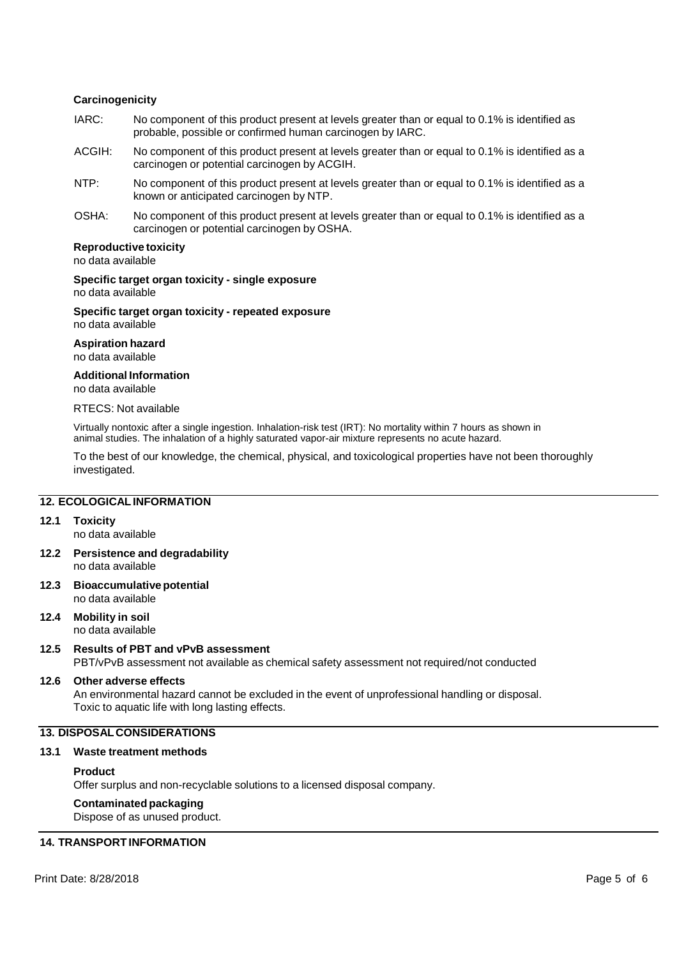# **Carcinogenicity**

- IARC: No component of this product present at levels greater than or equal to 0.1% is identified as probable, possible or confirmed human carcinogen by IARC.
- ACGIH: No component of this product present at levels greater than or equal to 0.1% is identified as a carcinogen or potential carcinogen by ACGIH.
- NTP: No component of this product present at levels greater than or equal to 0.1% is identified as a known or anticipated carcinogen by NTP.
- OSHA: No component of this product present at levels greater than or equal to 0.1% is identified as a carcinogen or potential carcinogen by OSHA.

#### **Reproductive toxicity**

no data available

**Specific target organ toxicity - single exposure** no data available

**Specific target organ toxicity - repeated exposure** no data available

**Aspiration hazard**

no data available

**Additional Information**

no data available

### RTECS: Not available

Virtually nontoxic after a single ingestion. Inhalation-risk test (IRT): No mortality within 7 hours as shown in animal studies. The inhalation of a highly saturated vapor-air mixture represents no acute hazard.

To the best of our knowledge, the chemical, physical, and toxicological properties have not been thoroughly investigated.

#### **12. ECOLOGICAL INFORMATION**

#### **12.1 Toxicity**

no data available

- **12.2 Persistence and degradability** no data available
- **12.3 Bioaccumulative potential** no data available
- **12.4 Mobility in soil** no data available

# **12.5 Results of PBT and vPvB assessment** PBT/vPvB assessment not available as chemical safety assessment not required/not conducted

#### **12.6 Other adverse effects**

An environmental hazard cannot be excluded in the event of unprofessional handling or disposal. Toxic to aquatic life with long lasting effects.

# **13. DISPOSAL CONSIDERATIONS**

#### **13.1 Waste treatment methods**

#### **Product**

Offer surplus and non-recyclable solutions to a licensed disposal company.

# **Contaminated packaging**

Dispose of as unused product.

# **14. TRANSPORT INFORMATION**